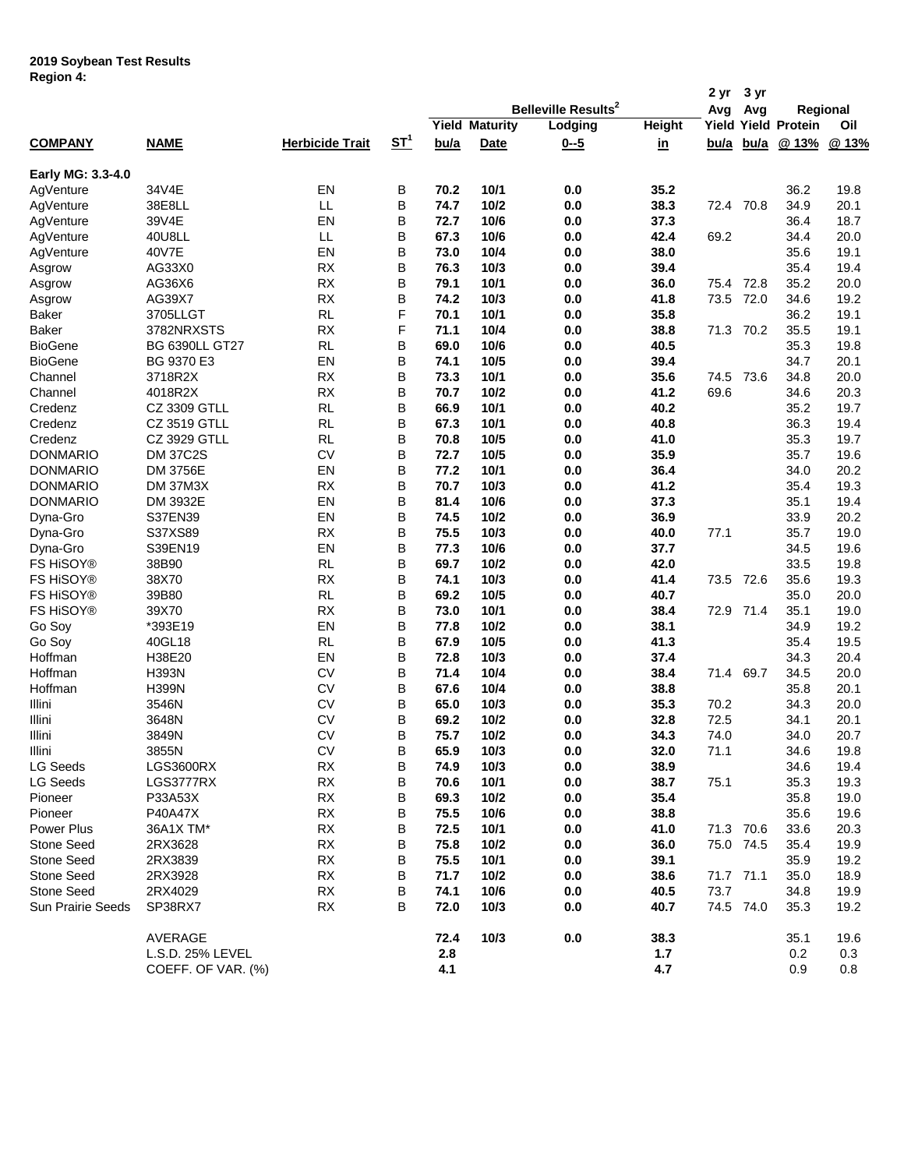## **2019 Soybean Test Results Region 4:**

|                          |                       |                        |                       |         |                       |                                       |               | 2 yr        | 3 yr        |                            |       |
|--------------------------|-----------------------|------------------------|-----------------------|---------|-----------------------|---------------------------------------|---------------|-------------|-------------|----------------------------|-------|
|                          |                       |                        |                       |         |                       | <b>Belleville Results<sup>2</sup></b> |               | Avg         | Avg         | Regional                   |       |
|                          |                       |                        |                       |         | <b>Yield Maturity</b> | Lodging                               | <b>Height</b> |             |             | <b>Yield Yield Protein</b> | Oil   |
| <b>COMPANY</b>           | <b>NAME</b>           | <b>Herbicide Trait</b> | <u>ST<sup>1</sup></u> | bu/a    | <b>Date</b>           | $0 - 5$                               | <u>in</u>     | <u>bu/a</u> | <u>bu/a</u> | @ 13%                      | @ 13% |
| Early MG: 3.3-4.0        |                       |                        |                       |         |                       |                                       |               |             |             |                            |       |
| AgVenture                | 34V4E                 | EN                     | В                     | 70.2    | 10/1                  | 0.0                                   | 35.2          |             |             | 36.2                       | 19.8  |
| AgVenture                | 38E8LL                | LL                     | B                     | 74.7    | 10/2                  | 0.0                                   | 38.3          | 72.4 70.8   |             | 34.9                       | 20.1  |
| AgVenture                | 39V4E                 | EN                     | B                     | 72.7    | 10/6                  | 0.0                                   | 37.3          |             |             | 36.4                       | 18.7  |
| AgVenture                | 40U8LL                | LL                     | B                     | 67.3    | 10/6                  | 0.0                                   | 42.4          | 69.2        |             | 34.4                       | 20.0  |
| AgVenture                | 40V7E                 | EN                     | В                     | 73.0    | 10/4                  | 0.0                                   | 38.0          |             |             | 35.6                       | 19.1  |
| Asgrow                   | AG33X0                | <b>RX</b>              | В                     | 76.3    | 10/3                  | 0.0                                   | 39.4          |             |             | 35.4                       | 19.4  |
| Asgrow                   | AG36X6                | <b>RX</b>              | B                     | 79.1    | 10/1                  | 0.0                                   | 36.0          | 75.4 72.8   |             | 35.2                       | 20.0  |
| Asgrow                   | AG39X7                | <b>RX</b>              | B                     | 74.2    | 10/3                  | 0.0                                   | 41.8          | 73.5        | 72.0        | 34.6                       | 19.2  |
| Baker                    | 3705LLGT              | <b>RL</b>              | F                     | 70.1    | 10/1                  | 0.0                                   | 35.8          |             |             | 36.2                       | 19.1  |
| Baker                    | 3782NRXSTS            | <b>RX</b>              | F                     | 71.1    | 10/4                  | 0.0                                   | 38.8          | 71.3 70.2   |             | 35.5                       | 19.1  |
| <b>BioGene</b>           | <b>BG 6390LL GT27</b> | <b>RL</b>              | B                     | 69.0    | 10/6                  | 0.0                                   | 40.5          |             |             | 35.3                       | 19.8  |
| <b>BioGene</b>           | BG 9370 E3            | EN                     | B                     | 74.1    | 10/5                  | 0.0                                   | 39.4          |             |             | 34.7                       | 20.1  |
| Channel                  | 3718R2X               | <b>RX</b>              | B                     | 73.3    | 10/1                  | 0.0                                   | 35.6          | 74.5        | 73.6        | 34.8                       | 20.0  |
| Channel                  | 4018R2X               | <b>RX</b>              | B                     | 70.7    | 10/2                  | 0.0                                   | 41.2          | 69.6        |             | 34.6                       | 20.3  |
| Credenz                  | CZ 3309 GTLL          | <b>RL</b>              | B                     | 66.9    | 10/1                  | 0.0                                   | 40.2          |             |             | 35.2                       | 19.7  |
| Credenz                  | CZ 3519 GTLL          | <b>RL</b>              | B                     | 67.3    | 10/1                  | 0.0                                   | 40.8          |             |             | 36.3                       | 19.4  |
| Credenz                  | CZ 3929 GTLL          | <b>RL</b>              | B                     | 70.8    | 10/5                  | 0.0                                   | 41.0          |             |             | 35.3                       | 19.7  |
| <b>DONMARIO</b>          | <b>DM 37C2S</b>       | <b>CV</b>              | B                     | 72.7    | 10/5                  | 0.0                                   | 35.9          |             |             | 35.7                       | 19.6  |
|                          |                       |                        |                       |         |                       |                                       |               |             |             |                            |       |
| <b>DONMARIO</b>          | <b>DM 3756E</b>       | EN                     | B                     | 77.2    | 10/1                  | 0.0                                   | 36.4          |             |             | 34.0                       | 20.2  |
| <b>DONMARIO</b>          | DM 37M3X              | <b>RX</b>              | B                     | 70.7    | 10/3                  | 0.0                                   | 41.2          |             |             | 35.4                       | 19.3  |
| <b>DONMARIO</b>          | DM 3932E              | EN                     | B                     | 81.4    | 10/6                  | 0.0                                   | 37.3          |             |             | 35.1                       | 19.4  |
| Dyna-Gro                 | S37EN39               | EN                     | B                     | 74.5    | 10/2                  | 0.0                                   | 36.9          |             |             | 33.9                       | 20.2  |
| Dyna-Gro                 | S37XS89               | <b>RX</b>              | B                     | 75.5    | 10/3                  | 0.0                                   | 40.0          | 77.1        |             | 35.7                       | 19.0  |
| Dyna-Gro                 | S39EN19               | EN                     | B                     | 77.3    | 10/6                  | 0.0                                   | 37.7          |             |             | 34.5                       | 19.6  |
| <b>FS HISOY®</b>         | 38B90                 | <b>RL</b>              | B                     | 69.7    | 10/2                  | 0.0                                   | 42.0          |             |             | 33.5                       | 19.8  |
| FS HiSOY®                | 38X70                 | <b>RX</b>              | В                     | 74.1    | 10/3                  | 0.0                                   | 41.4          | 73.5 72.6   |             | 35.6                       | 19.3  |
| <b>FS HISOY®</b>         | 39B80                 | <b>RL</b>              | B                     | 69.2    | 10/5                  | 0.0                                   | 40.7          |             |             | 35.0                       | 20.0  |
| FS HiSOY®                | 39X70                 | <b>RX</b>              | B                     | 73.0    | 10/1                  | 0.0                                   | 38.4          | 72.9 71.4   |             | 35.1                       | 19.0  |
| Go Soy                   | *393E19               | EN                     | B                     | 77.8    | 10/2                  | 0.0                                   | 38.1          |             |             | 34.9                       | 19.2  |
| Go Soy                   | 40GL18                | <b>RL</b>              | B                     | 67.9    | 10/5                  | 0.0                                   | 41.3          |             |             | 35.4                       | 19.5  |
| Hoffman                  | H38E20                | EN                     | В                     | 72.8    | 10/3                  | 0.0                                   | 37.4          |             |             | 34.3                       | 20.4  |
| Hoffman                  | H393N                 | <b>CV</b>              | В                     | 71.4    | 10/4                  | 0.0                                   | 38.4          | 71.4        | 69.7        | 34.5                       | 20.0  |
| Hoffman                  | <b>H399N</b>          | <b>CV</b>              | B                     | 67.6    | 10/4                  | 0.0                                   | 38.8          |             |             | 35.8                       | 20.1  |
| Illini                   | 3546N                 | <b>CV</b>              | В                     | 65.0    | 10/3                  | 0.0                                   | 35.3          | 70.2        |             | 34.3                       | 20.0  |
| Illini                   | 3648N                 | <b>CV</b>              | B                     | 69.2    | 10/2                  | 0.0                                   | 32.8          | 72.5        |             | 34.1                       | 20.1  |
| Illini                   | 3849N                 | <b>CV</b>              | B                     | 75.7    | 10/2                  | 0.0                                   | 34.3          | 74.0        |             | 34.0                       | 20.7  |
| Illini                   | 3855N                 | ${\sf CV}$             | B                     | 65.9    | 10/3                  | $0.0\,$                               | 32.0          | 71.1        |             | 34.6                       | 19.8  |
| <b>LG Seeds</b>          | <b>LGS3600RX</b>      | <b>RX</b>              | В                     | 74.9    | 10/3                  | 0.0                                   | 38.9          |             |             | 34.6                       | 19.4  |
| <b>LG Seeds</b>          | LGS3777RX             | <b>RX</b>              | В                     | 70.6    | 10/1                  | $0.0\,$                               | 38.7          | 75.1        |             | 35.3                       | 19.3  |
| Pioneer                  | P33A53X               | <b>RX</b>              | В                     | 69.3    | 10/2                  | $0.0\,$                               | 35.4          |             |             | 35.8                       | 19.0  |
| Pioneer                  | P40A47X               | RX                     | В                     | 75.5    | 10/6                  | 0.0                                   | 38.8          |             |             | 35.6                       | 19.6  |
| Power Plus               | 36A1X TM*             | RX                     | В                     | 72.5    | 10/1                  | 0.0                                   | 41.0          | 71.3 70.6   |             | 33.6                       | 20.3  |
| Stone Seed               | 2RX3628               | RX                     | В                     | 75.8    | 10/2                  | 0.0                                   | 36.0          | 75.0 74.5   |             | 35.4                       | 19.9  |
| <b>Stone Seed</b>        | 2RX3839               | <b>RX</b>              | В                     | 75.5    | 10/1                  | 0.0                                   | 39.1          |             |             | 35.9                       | 19.2  |
| Stone Seed               | 2RX3928               | RX                     | В                     | 71.7    | 10/2                  | 0.0                                   | 38.6          | 71.7 71.1   |             | 35.0                       | 18.9  |
| Stone Seed               | 2RX4029               | RX                     | В                     | 74.1    | 10/6                  | 0.0                                   | 40.5          | 73.7        |             | 34.8                       | 19.9  |
| <b>Sun Prairie Seeds</b> | SP38RX7               | RX                     | В                     | 72.0    | 10/3                  | 0.0                                   | 40.7          | 74.5 74.0   |             | 35.3                       | 19.2  |
|                          | AVERAGE               |                        |                       | 72.4    | 10/3                  | 0.0                                   | 38.3          |             |             | 35.1                       | 19.6  |
|                          | L.S.D. 25% LEVEL      |                        |                       | $2.8\,$ |                       |                                       | 1.7           |             |             | 0.2                        | 0.3   |
|                          | COEFF. OF VAR. (%)    |                        |                       | 4.1     |                       |                                       | 4.7           |             |             | 0.9                        | 0.8   |